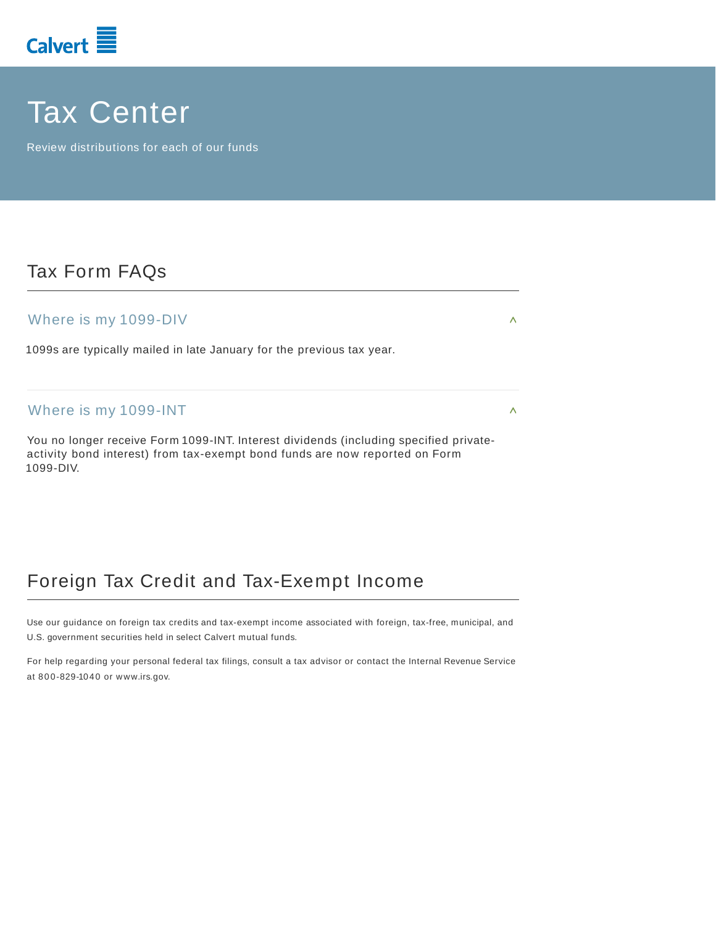

# Tax Center

Review distributions for each of our funds

### Tax Form FAQs

### Where is my 1099-DIV

1099s are typically mailed in late January for the previous tax year.

#### Where is my 1099-INT

You no longer receive Form 1099-INT. Interest dividends (including specified privateactivity bond interest) from tax-exempt bond funds are now reported on Form 1099-DIV.

### Foreign Tax Credit and Tax-Exempt Income

Use our guidance on foreign tax credits and tax-exempt income associated with foreign, tax-free, municipal, and U.S. government securities held in select Calvert mutual funds.

For help regarding your personal federal tax filings, consult a tax advisor or contact the Internal Revenue Service at 800-829-1040 or www.irs.gov.

٨

 $\color{red} \wedge$